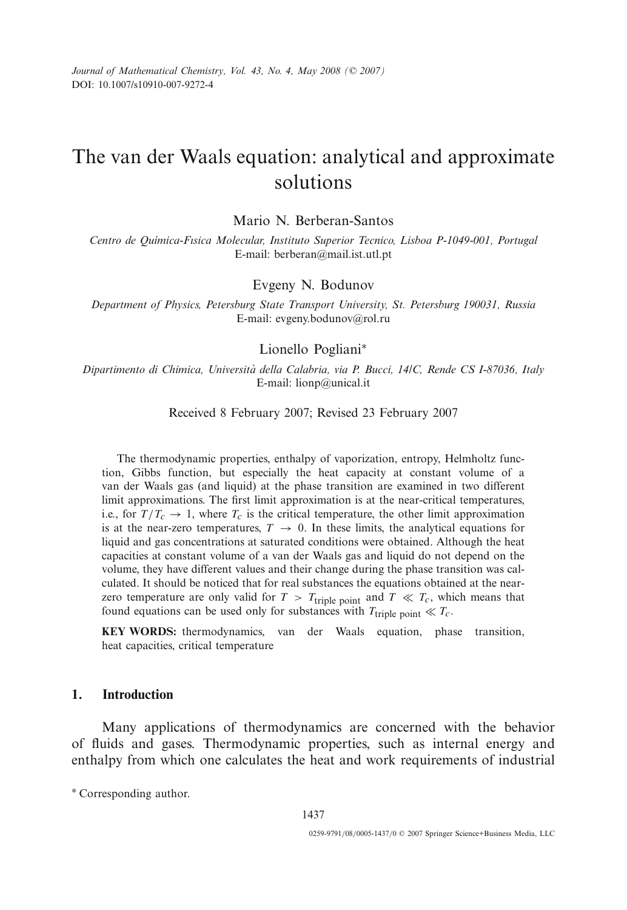# The van der Waals equation: analytical and approximate solutions

Mario N. Berberan-Santos

*Centro de Qu´ımica-Fısica Molecular, Instituto Superior Tecnico, Lisboa P-1049-001, Portugal* E-mail: berberan@mail.ist.utl.pt

Evgeny N. Bodunov

*Department of Physics, Petersburg State Transport University, St. Petersburg 190031, Russia* E-mail: evgeny.bodunov@rol.ru

Lionello Pogliani∗

*Dipartimento di Chimica, Universita della Calabria, via P. Bucci, 14/C, Rende CS I-87036, Italy `* E-mail: lionp@unical.it

Received 8 February 2007; Revised 23 February 2007

The thermodynamic properties, enthalpy of vaporization, entropy, Helmholtz function, Gibbs function, but especially the heat capacity at constant volume of a van der Waals gas (and liquid) at the phase transition are examined in two different limit approximations. The first limit approximation is at the near-critical temperatures, i.e., for  $T/T_c \rightarrow 1$ , where  $T_c$  is the critical temperature, the other limit approximation is at the near-zero temperatures,  $T \rightarrow 0$ . In these limits, the analytical equations for liquid and gas concentrations at saturated conditions were obtained. Although the heat capacities at constant volume of a van der Waals gas and liquid do not depend on the volume, they have different values and their change during the phase transition was calculated. It should be noticed that for real substances the equations obtained at the nearzero temperature are only valid for  $T > T_{\text{triple point}}$  and  $T \ll T_c$ , which means that found equations can be used only for substances with  $T_{\text{triple point}} \ll T_c$ .

**KEY WORDS:** thermodynamics, van der Waals equation, phase transition, heat capacities, critical temperature

# <span id="page-0-0"></span>**1. Introduction**

Many applications of thermodynamics are concerned with the behavior of fluids and gases. Thermodynamic properties, such as internal energy and enthalpy from which one calculates the heat and work requirements of industrial

∗ Corresponding author.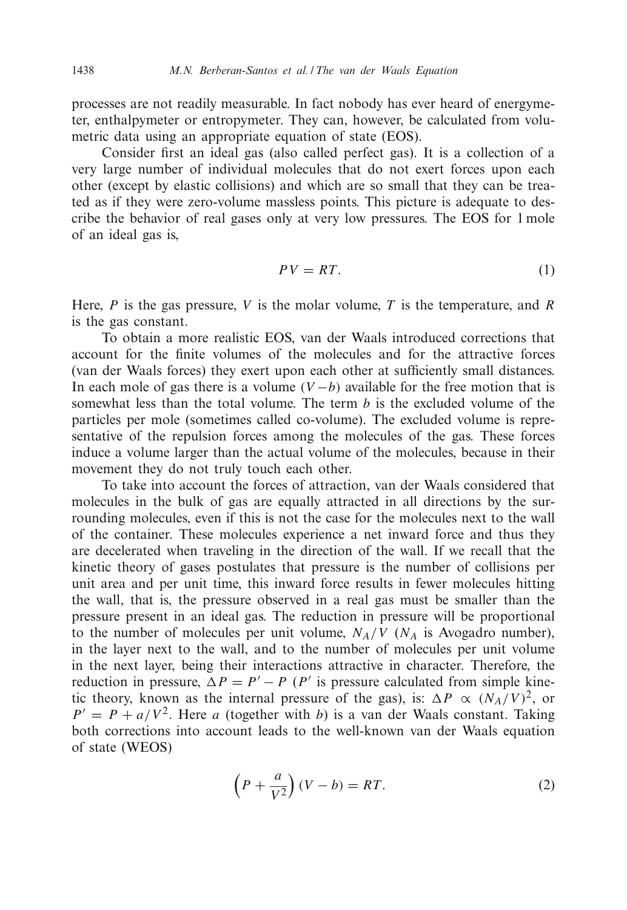processes are not readily measurable. In fact nobody has ever heard of energymeter, enthalpymeter or entropymeter. They can, however, be calculated from volumetric data using an appropriate equation of state (EOS).

Consider first an ideal gas (also called perfect gas). It is a collection of a very large number of individual molecules that do not exert forces upon each other (except by elastic collisions) and which are so small that they can be treated as if they were zero-volume massless points. This picture is adequate to describe the behavior of real gases only at very low pressures. The EOS for 1 mole of an ideal gas is,

$$
PV = RT.\tag{1}
$$

Here,  $P$  is the gas pressure,  $V$  is the molar volume,  $T$  is the temperature, and  $R$ is the gas constant.

To obtain a more realistic EOS, van der Waals introduced corrections that account for the finite volumes of the molecules and for the attractive forces (van der Waals forces) they exert upon each other at sufficiently small distances. In each mole of gas there is a volume  $(V - b)$  available for the free motion that is somewhat less than the total volume. The term  $b$  is the excluded volume of the particles per mole (sometimes called co-volume). The excluded volume is representative of the repulsion forces among the molecules of the gas. These forces induce a volume larger than the actual volume of the molecules, because in their movement they do not truly touch each other.

To take into account the forces of attraction, van der Waals considered that molecules in the bulk of gas are equally attracted in all directions by the surrounding molecules, even if this is not the case for the molecules next to the wall of the container. These molecules experience a net inward force and thus they are decelerated when traveling in the direction of the wall. If we recall that the kinetic theory of gases postulates that pressure is the number of collisions per unit area and per unit time, this inward force results in fewer molecules hitting the wall, that is, the pressure observed in a real gas must be smaller than the pressure present in an ideal gas. The reduction in pressure will be proportional to the number of molecules per unit volume,  $N_A/V$  ( $N_A$  is Avogadro number), in the layer next to the wall, and to the number of molecules per unit volume in the next layer, being their interactions attractive in character. Therefore, the reduction in pressure,  $\Delta P = P' - P$  (P' is pressure calculated from simple kinetic theory, known as the internal pressure of the gas), is:  $\Delta P \propto (N_A/V)^2$ , or  $P' = P + a/V^2$ . Here a (together with b) is a van der Waals constant. Taking both corrections into account leads to the well-known van der Waals equation of state (WEOS)

$$
\left(P + \frac{a}{V^2}\right)(V - b) = RT.
$$
\n(2)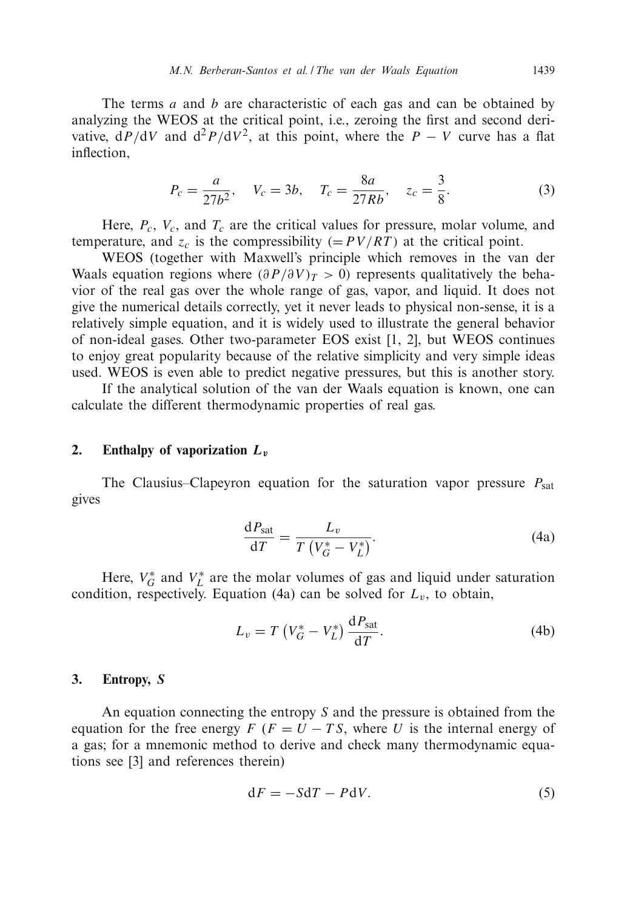The terms *a* and *b* are characteristic of each gas and can be obtained by analyzing the WEOS at the critical point, i.e., zeroing the first and second derivative,  $dP/dV$  and  $d^2P/dV^2$ , at this point, where the P − V curve has a flat inflection,

$$
P_c = \frac{a}{27b^2}, \quad V_c = 3b, \quad T_c = \frac{8a}{27Rb}, \quad z_c = \frac{3}{8}.
$$
 (3)

Here,  $P_c$ ,  $V_c$ , and  $T_c$  are the critical values for pressure, molar volume, and temperature, and  $z_c$  is the compressibility (=  $PV/RT$ ) at the critical point.

WEOS (together with Maxwell's principle which removes in the van der Waals equation regions where  $(\partial P/\partial V)_T > 0$  represents qualitatively the behavior of the real gas over the whole range of gas, vapor, and liquid. It does not give the numerical details correctly, yet it never leads to physical non-sense, it is a relatively simple equation, and it is widely used to illustrate the general behavior of non-ideal gases. Other two-parameter EOS exist [\[1,](#page-20-0) [2\]](#page-20-1), but WEOS continues to enjoy great popularity because of the relative simplicity and very simple ideas used. WEOS is even able to predict negative pressures, but this is another story.

If the analytical solution of the van der Waals equation is known, one can calculate the different thermodynamic properties of real gas.

## **2. Enthalpy of vaporization** *L<sup>v</sup>*

<span id="page-2-0"></span>The Clausius–Clapeyron equation for the saturation vapor pressure  $P_{\text{sat}}$ gives

$$
\frac{\mathrm{d}P_{\text{sat}}}{\mathrm{d}T} = \frac{L_v}{T\left(V_G^* - V_L^*\right)}.\tag{4a}
$$

Here,  $V_G^*$  and  $V_L^*$  are the molar volumes of gas and liquid under saturation condition, respectively. Equation [\(4a\)](#page-2-0) can be solved for  $L<sub>v</sub>$ , to obtain,

$$
L_v = T \left( V_G^* - V_L^* \right) \frac{\mathrm{d} P_{\text{sat}}}{\mathrm{d} T}.
$$
 (4b)

#### <span id="page-2-1"></span>**3. Entropy,** *S*

An equation connecting the entropy S and the pressure is obtained from the equation for the free energy  $F$  ( $F = U - TS$ , where U is the internal energy of a gas; for a mnemonic method to derive and check many thermodynamic equations see [\[3](#page-20-2)] and references therein)

$$
dF = -S dT - P dV. \tag{5}
$$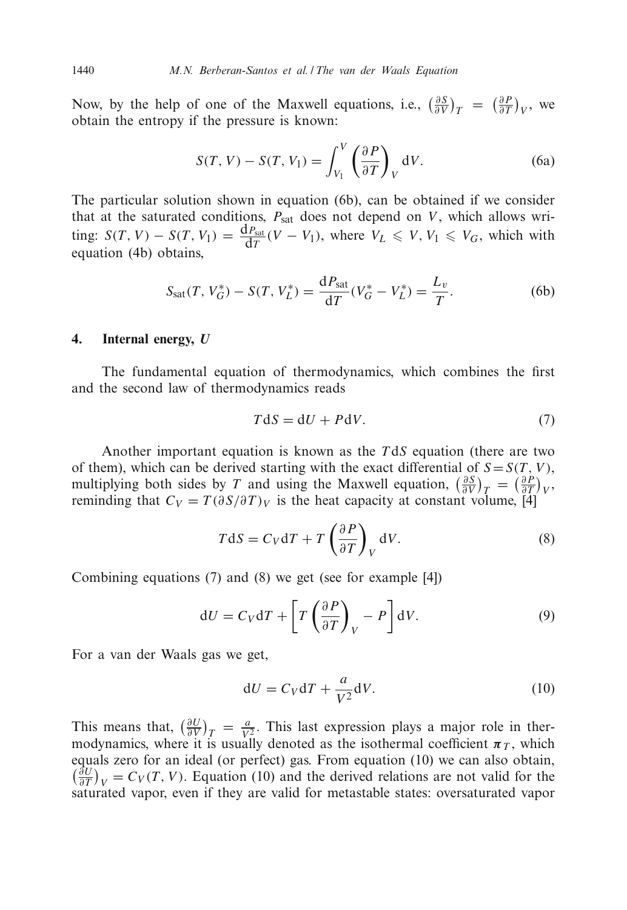Now, by the help of one of the Maxwell equations, i.e.,  $\left(\frac{\partial S}{\partial V}\right)_T = \left(\frac{\partial P}{\partial T}\right)_V$ , we obtain the entropy if the pressure is known:

<span id="page-3-0"></span>
$$
S(T, V) - S(T, V_1) = \int_{V_1}^{V} \left(\frac{\partial P}{\partial T}\right)_V dV.
$$
 (6a)

The particular solution shown in equation [\(6b\)](#page-3-0), can be obtained if we consider that at the saturated conditions,  $P_{sat}$  does not depend on  $V$ , which allows writing:  $S(T, V) - S(T, V_1) = \frac{dP_{\text{sat}}}{dT}(V - V_1)$ , where  $V_L \leq V, V_1 \leq V_G$ , which with equation [\(4b\)](#page-2-0) obtains,

$$
S_{\rm sat}(T, V_G^*) - S(T, V_L^*) = \frac{\mathrm{d}P_{\rm sat}}{\mathrm{d}T} (V_G^* - V_L^*) = \frac{L_v}{T}.
$$
 (6b)

#### <span id="page-3-1"></span>**4. Internal energy,** *U*

The fundamental equation of thermodynamics, which combines the first and the second law of thermodynamics reads

$$
TdS = dU + PdV.
$$
 (7)

Another important equation is known as the  $T dS$  equation (there are two of them), which can be derived starting with the exact differential of  $S = S(T, V)$ , multiplying both sides by T and using the Maxwell equation,  $\left(\frac{\partial S}{\partial V}\right)_T = \left(\frac{\partial P}{\partial T}\right)_V$ , reminding that  $C_V = T(\partial S/\partial T)_V$  is the heat capacity at constant volume, [\[4\]](#page-20-3)

$$
T dS = C_V dT + T \left(\frac{\partial P}{\partial T}\right)_V dV.
$$
 (8)

Combining equations [\(7\)](#page-3-1) and [\(8\)](#page-3-1) we get (see for example [\[4](#page-20-3)])

$$
dU = C_V dT + \left[T\left(\frac{\partial P}{\partial T}\right)_V - P\right] dV.
$$
\n(9)

For a van der Waals gas we get,

$$
dU = C_V dT + \frac{a}{V^2} dV.
$$
 (10)

This means that,  $\left(\frac{\partial U}{\partial V}\right)_T = \frac{a}{V_{11}}$ . This last expression plays a major role in thermodynamics, where it is usually denoted as the isothermal coefficient  $\pi<sub>T</sub>$ , which equals zero for an ideal (or perfect) gas. From equation [\(10\)](#page-3-1) we can also obtain,  $\left(\frac{\partial U}{\partial T}\right)_V = C_V(T, V)$ . Equation [\(10\)](#page-3-1) and the derived relations are not valid for the saturated vapor, even if they are valid for metastable states: oversaturated vapor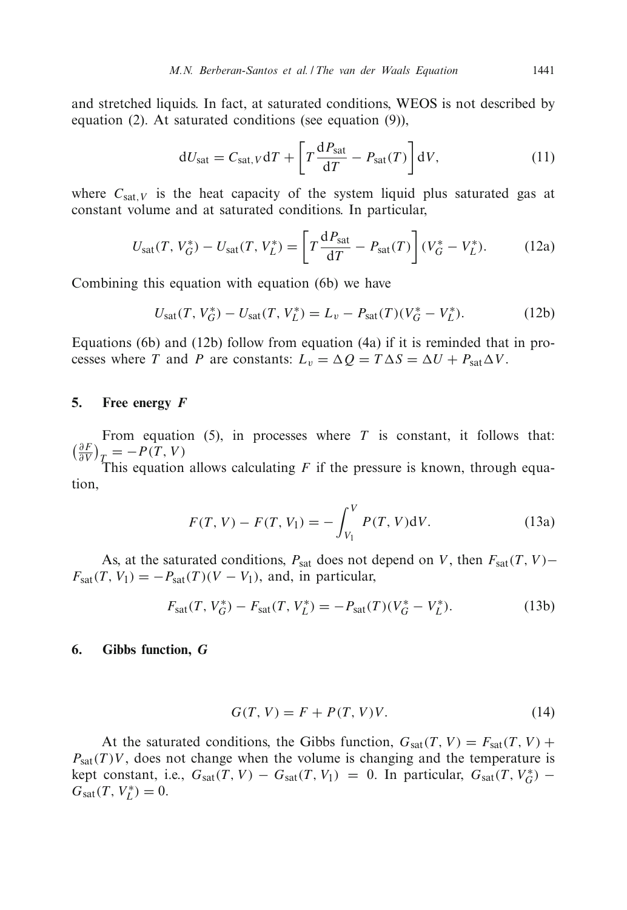and stretched liquids. In fact, at saturated conditions, WEOS is not described by equation [\(2\)](#page-0-0). At saturated conditions (see equation [\(9\)](#page-3-1)),

<span id="page-4-0"></span>
$$
dU_{\text{sat}} = C_{\text{sat,V}} dT + \left[ T \frac{dP_{\text{sat}}}{dT} - P_{\text{sat}}(T) \right] dV, \qquad (11)
$$

where  $C_{\text{sat,V}}$  is the heat capacity of the system liquid plus saturated gas at constant volume and at saturated conditions. In particular,

$$
U_{\text{sat}}(T, V_G^*) - U_{\text{sat}}(T, V_L^*) = \left[ T \frac{\mathrm{d} P_{\text{sat}}}{\mathrm{d} T} - P_{\text{sat}}(T) \right] (V_G^* - V_L^*). \tag{12a}
$$

Combining this equation with equation [\(6b\)](#page-3-0) we have

$$
U_{\text{sat}}(T, V_G^*) - U_{\text{sat}}(T, V_L^*) = L_v - P_{\text{sat}}(T)(V_G^* - V_L^*). \tag{12b}
$$

Equations [\(6b\)](#page-3-0) and [\(12b\)](#page-4-0) follow from equation [\(4a\)](#page-2-0) if it is reminded that in processes where T and P are constants:  $L_v = \Delta Q = T \Delta S = \Delta U + P_{sat} \Delta V$ .

#### **5. Free energy** *F*

From equation [\(5\)](#page-2-1), in processes where  $T$  is constant, it follows that:  $\left(\frac{\partial F}{\partial V}\right)_T = -P(T, V)$ 

<span id="page-4-1"></span>This equation allows calculating  $F$  if the pressure is known, through equation,

$$
F(T, V) - F(T, V_1) = -\int_{V_1}^{V} P(T, V) dV.
$$
 (13a)

As, at the saturated conditions,  $P_{\text{sat}}$  does not depend on V, then  $F_{\text{sat}}(T, V)$  –  $F_{\text{sat}}(T, V_1) = -P_{\text{sat}}(T)(V - V_1)$ , and, in particular,

$$
F_{\text{sat}}(T, V_G^*) - F_{\text{sat}}(T, V_L^*) = -P_{\text{sat}}(T)(V_G^* - V_L^*). \tag{13b}
$$

#### **6. Gibbs function,** *G*

$$
G(T, V) = F + P(T, V)V.
$$
\n<sup>(14)</sup>

At the saturated conditions, the Gibbs function,  $G_{sat}(T, V) = F_{sat}(T, V) +$  $P_{\text{sat}}(T)V$ , does not change when the volume is changing and the temperature is kept constant, i.e.,  $G_{sat}(T, V) - G_{sat}(T, V_1) = 0$ . In particular,  $G_{sat}(T, V_G^*)$  –  $G_{\text{sat}}(T, V_L^*) = 0.$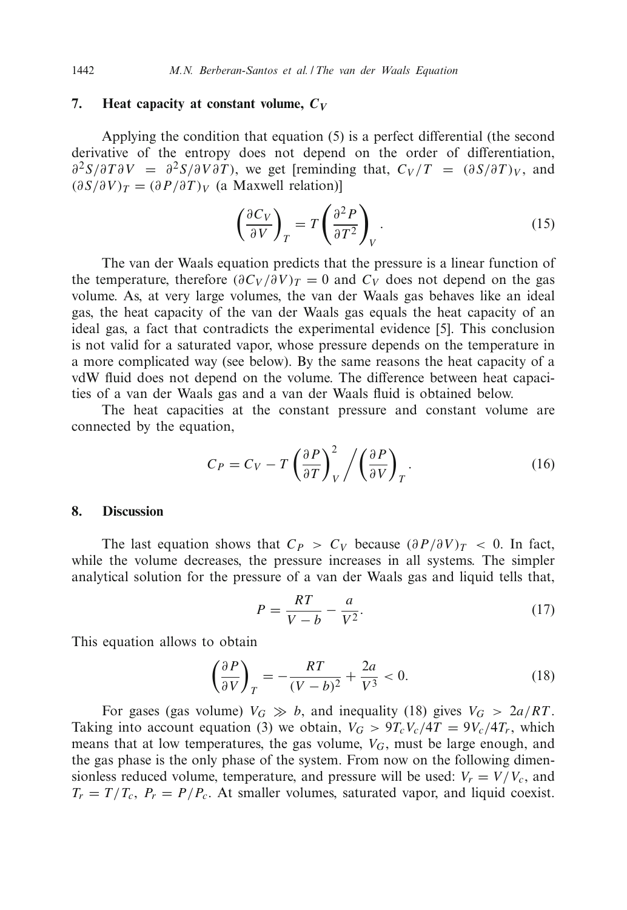#### <span id="page-5-0"></span>**7. Heat capacity at constant volume,** *CV*

Applying the condition that equation [\(5\)](#page-2-1) is a perfect differential (the second derivative of the entropy does not depend on the order of differentiation,  $\frac{\partial^2 S}{\partial T \partial V} = \frac{\partial^2 S}{\partial V \partial T}$ , we get [reminding that,  $C_V/T = (\partial S/\partial T)_V$ , and  $(\partial S/\partial V)_T = (\partial P/\partial T)_V$  (a Maxwell relation)]

$$
\left(\frac{\partial C_V}{\partial V}\right)_T = T \left(\frac{\partial^2 P}{\partial T^2}\right)_V.
$$
\n(15)

The van der Waals equation predicts that the pressure is a linear function of the temperature, therefore  $(\partial C_V/\partial V)_T = 0$  and  $C_V$  does not depend on the gas volume. As, at very large volumes, the van der Waals gas behaves like an ideal gas, the heat capacity of the van der Waals gas equals the heat capacity of an ideal gas, a fact that contradicts the experimental evidence [\[5\]](#page-20-4). This conclusion is not valid for a saturated vapor, whose pressure depends on the temperature in a more complicated way (see below). By the same reasons the heat capacity of a vdW fluid does not depend on the volume. The difference between heat capacities of a van der Waals gas and a van der Waals fluid is obtained below.

The heat capacities at the constant pressure and constant volume are connected by the equation,

$$
C_P = C_V - T \left(\frac{\partial P}{\partial T}\right)^2_V / \left(\frac{\partial P}{\partial V}\right)^2.
$$
 (16)

# <span id="page-5-1"></span>**8. Discussion**

The last equation shows that  $C_P > C_V$  because  $(\partial P/\partial V)_T < 0$ . In fact, while the volume decreases, the pressure increases in all systems. The simpler analytical solution for the pressure of a van der Waals gas and liquid tells that,

$$
P = \frac{RT}{V - b} - \frac{a}{V^2}.\tag{17}
$$

This equation allows to obtain

$$
\left(\frac{\partial P}{\partial V}\right)_T = -\frac{RT}{(V-b)^2} + \frac{2a}{V^3} < 0. \tag{18}
$$

For gases (gas volume)  $V_G \gg b$ , and inequality (18) gives  $V_G > 2a/RT$ . Taking into account equation [\(3\)](#page-0-0) we obtain,  $V_G > 9T_cV_c/4T = 9V_c/4T_r$ , which means that at low temperatures, the gas volume,  $V_G$ , must be large enough, and the gas phase is the only phase of the system. From now on the following dimensionless reduced volume, temperature, and pressure will be used:  $V_r = V/V_c$ , and  $T_r = T/T_c$ ,  $P_r = P/P_c$ . At smaller volumes, saturated vapor, and liquid coexist.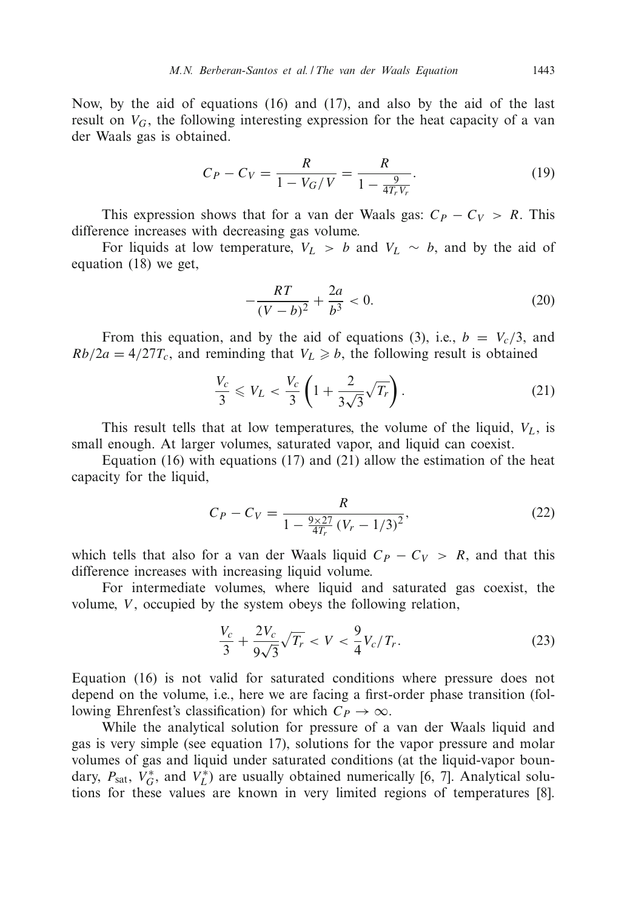Now, by the aid of equations [\(16\)](#page-5-0) and [\(17\)](#page-5-1), and also by the aid of the last result on  $V_G$ , the following interesting expression for the heat capacity of a van der Waals gas is obtained.

$$
C_P - C_V = \frac{R}{1 - V_G/V} = \frac{R}{1 - \frac{9}{4T_r V_r}}.\tag{19}
$$

This expression shows that for a van der Waals gas:  $C_P - C_V > R$ . This difference increases with decreasing gas volume.

For liquids at low temperature,  $V_L > b$  and  $V_L \sim b$ , and by the aid of equation [\(18\)](#page-5-1) we get,

$$
-\frac{RT}{(V-b)^2} + \frac{2a}{b^3} < 0. \tag{20}
$$

From this equation, and by the aid of equations [\(3\)](#page-0-0), i.e.,  $b = V_c/3$ , and  $Rb/2a = 4/27T_c$ , and reminding that  $V_L \ge b$ , the following result is obtained

$$
\frac{V_c}{3} \leqslant V_L < \frac{V_c}{3} \left( 1 + \frac{2}{3\sqrt{3}} \sqrt{T_r} \right). \tag{21}
$$

This result tells that at low temperatures, the volume of the liquid,  $V_L$ , is small enough. At larger volumes, saturated vapor, and liquid can coexist.

Equation [\(16\)](#page-5-0) with equations [\(17\)](#page-5-1) and [\(21\)](#page-5-1) allow the estimation of the heat capacity for the liquid,

$$
C_P - C_V = \frac{R}{1 - \frac{9 \times 27}{4T_r} (V_r - 1/3)^2},\tag{22}
$$

which tells that also for a van der Waals liquid  $C_P - C_V > R$ , and that this difference increases with increasing liquid volume.

For intermediate volumes, where liquid and saturated gas coexist, the volume,  $V$ , occupied by the system obeys the following relation,

$$
\frac{V_c}{3} + \frac{2V_c}{9\sqrt{3}}\sqrt{T_r} < V < \frac{9}{4}V_c/T_r. \tag{23}
$$

Equation [\(16\)](#page-5-0) is not valid for saturated conditions where pressure does not depend on the volume, i.e., here we are facing a first-order phase transition (following Ehrenfest's classification) for which  $C_P \rightarrow \infty$ .

While the analytical solution for pressure of a van der Waals liquid and gas is very simple (see equation [17\)](#page-5-1), solutions for the vapor pressure and molar volumes of gas and liquid under saturated conditions (at the liquid-vapor boundary,  $P_{\text{sat}}$ ,  $V_G^*$ , and  $V_L^*$ ) are usually obtained numerically [\[6](#page-20-5), [7\]](#page-20-6). Analytical solutions for these values are known in very limited regions of temperatures [\[8](#page-20-7)].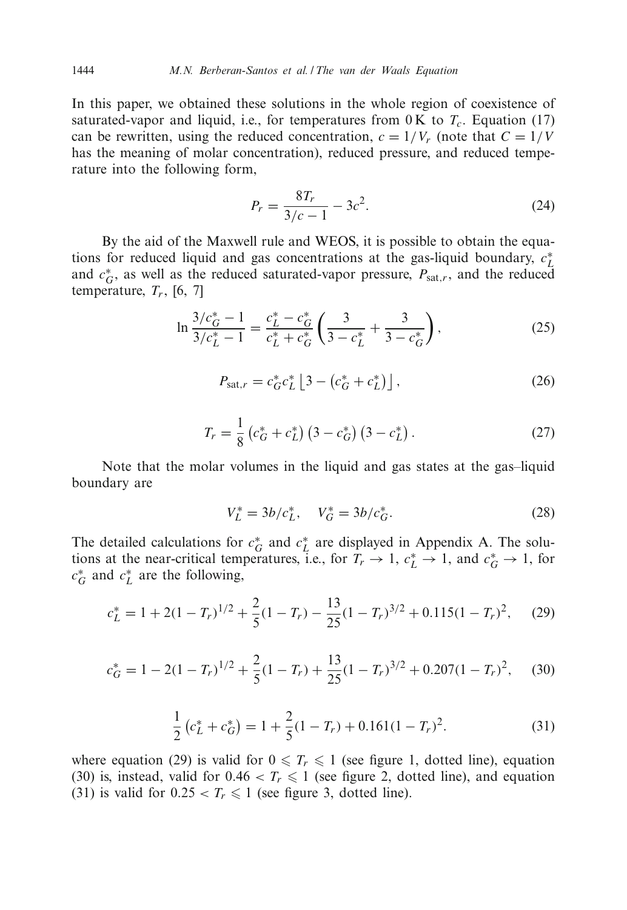In this paper, we obtained these solutions in the whole region of coexistence of saturated-vapor and liquid, i.e., for temperatures from  $0K$  to  $T_c$ . Equation [\(17\)](#page-5-1) can be rewritten, using the reduced concentration,  $c = 1/V_r$  (note that  $C = 1/V$ has the meaning of molar concentration), reduced pressure, and reduced temperature into the following form,

$$
P_r = \frac{8T_r}{3/c - 1} - 3c^2.
$$
 (24)

By the aid of the Maxwell rule and WEOS, it is possible to obtain the equations for reduced liquid and gas concentrations at the gas-liquid boundary,  $c_L^*$ and  $c^*_{G}$ , as well as the reduced saturated-vapor pressure,  $P_{\text{sat},r}$ , and the reduced temperature,  $T_r$ , [\[6](#page-20-5), [7](#page-20-6)]

$$
\ln \frac{3/c_G^* - 1}{3/c_L^* - 1} = \frac{c_L^* - c_G^*}{c_L^* + c_G^*} \left( \frac{3}{3 - c_L^*} + \frac{3}{3 - c_G^*} \right),\tag{25}
$$

$$
P_{\text{sat},r} = c_G^* c_L^* \left[ 3 - \left( c_G^* + c_L^* \right) \right],\tag{26}
$$

$$
T_r = \frac{1}{8} \left( c_G^* + c_L^* \right) \left( 3 - c_G^* \right) \left( 3 - c_L^* \right). \tag{27}
$$

Note that the molar volumes in the liquid and gas states at the gas–liquid boundary are

$$
V_L^* = 3b/c_L^*, \quad V_G^* = 3b/c_G^*.
$$
 (28)

The detailed calculations for  $c_G^*$  and  $c_L^*$  are displayed in Appendix A. The solutions at the near-critical temperatures, i.e., for  $T_r \to 1$ ,  $c_L^* \to 1$ , and  $c_G^* \to 1$ , for  $c_G^*$  and  $c_L^*$  are the following,

$$
c_L^* = 1 + 2(1 - T_r)^{1/2} + \frac{2}{5}(1 - T_r) - \frac{13}{25}(1 - T_r)^{3/2} + 0.115(1 - T_r)^2, \tag{29}
$$

$$
c_G^* = 1 - 2(1 - T_r)^{1/2} + \frac{2}{5}(1 - T_r) + \frac{13}{25}(1 - T_r)^{3/2} + 0.207(1 - T_r)^2, \tag{30}
$$

$$
\frac{1}{2}\left(c_L^* + c_G^*\right) = 1 + \frac{2}{5}(1 - T_r) + 0.161(1 - T_r)^2.
$$
\n(31)

where equation [\(29\)](#page-5-1) is valid for  $0 \leq T_r \leq 1$  (see figure [1,](#page-5-1) dotted line), equation [\(30\)](#page-5-1) is, instead, valid for  $0.46 < T_r \le 1$  (see figure [2,](#page-5-1) dotted line), and equation [\(31\)](#page-5-1) is valid for  $0.25 < T_r \le 1$  (see figure [3,](#page-5-1) dotted line).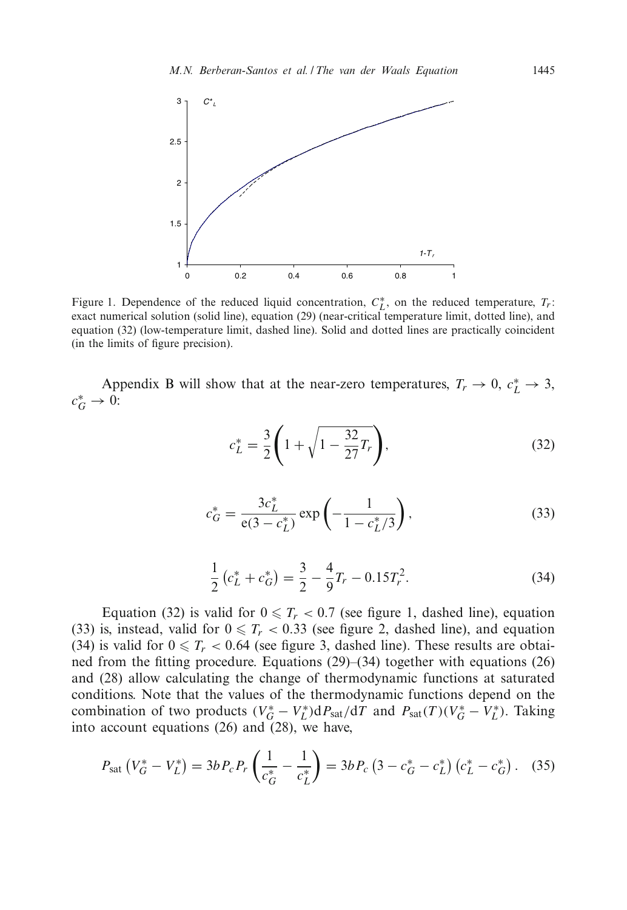

Figure 1. Dependence of the reduced liquid concentration,  $C_L^*$ , on the reduced temperature,  $T_r$ : exact numerical solution (solid line), equation [\(29\)](#page-5-1) (near-critical temperature limit, dotted line), and equation [\(32\)](#page-5-1) (low-temperature limit, dashed line). Solid and dotted lines are practically coincident (in the limits of figure precision).

Appendix B will show that at the near-zero temperatures,  $T_r \to 0$ ,  $c_L^* \to 3$ ,  $c_G^* \to 0$ :

$$
c_L^* = \frac{3}{2} \left( 1 + \sqrt{1 - \frac{32}{27} T_r} \right),\tag{32}
$$

$$
c_G^* = \frac{3c_L^*}{e(3 - c_L^*)} \exp\left(-\frac{1}{1 - c_L^*/3}\right),\tag{33}
$$

$$
\frac{1}{2}\left(c_L^* + c_G^*\right) = \frac{3}{2} - \frac{4}{9}T_r - 0.15T_r^2.
$$
\n(34)

Equation [\(32\)](#page-5-1) is valid for  $0 \le T_r < 0.7$  (see figure [1,](#page-5-1) dashed line), equation [\(33\)](#page-5-1) is, instead, valid for  $0 \leq T_r < 0.33$  (see figure [2,](#page-0-0) dashed line), and equation [\(34\)](#page-5-1) is valid for  $0 \leq T_r < 0.64$  (see figure [3,](#page-5-1) dashed line). These results are obtained from the fitting procedure. Equations [\(29\)](#page-5-1)–[\(34\)](#page-5-1) together with equations [\(26\)](#page-5-1) and [\(28\)](#page-5-1) allow calculating the change of thermodynamic functions at saturated conditions. Note that the values of the thermodynamic functions depend on the combination of two products  $(V_G^* - V_L^*) dP_{sat}/dT$  and  $P_{sat}(T)(V_G^* - V_L^*)$ . Taking into account equations [\(26\)](#page-5-1) and [\(28\)](#page-5-1), we have,

$$
P_{\rm sat} \left( V_G^* - V_L^* \right) = 3b P_c P_r \left( \frac{1}{c_G^*} - \frac{1}{c_L^*} \right) = 3b P_c \left( 3 - c_G^* - c_L^* \right) \left( c_L^* - c_G^* \right). \tag{35}
$$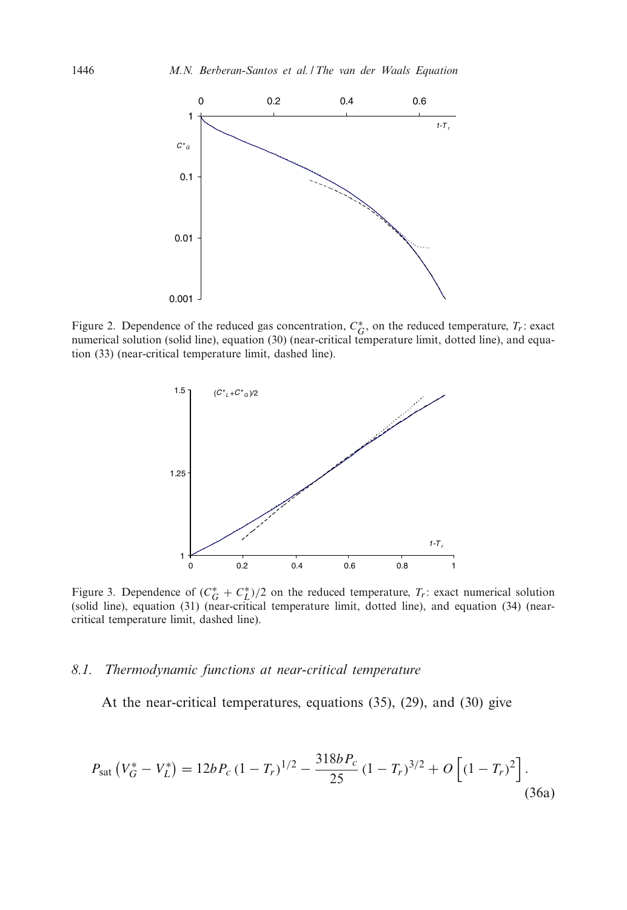

Figure 2. Dependence of the reduced gas concentration,  $C_G^*$ , on the reduced temperature,  $T_r$ : exact numerical solution (solid line), equation [\(30\)](#page-5-1) (near-critical temperature limit, dotted line), and equation [\(33\)](#page-5-1) (near-critical temperature limit, dashed line).



Figure 3. Dependence of  $(C_G^* + C_L^*)/2$  on the reduced temperature,  $T_r$ : exact numerical solution (solid line), equation [\(31\)](#page-5-1) (near-critical temperature limit, dotted line), and equation [\(34\)](#page-5-1) (nearcritical temperature limit, dashed line).

## *8.1. Thermodynamic functions at near-critical temperature*

<span id="page-9-0"></span>At the near-critical temperatures, equations [\(35\)](#page-5-1), [\(29\)](#page-5-1), and [\(30\)](#page-5-1) give

$$
P_{\text{sat}}\left(V_G^* - V_L^*\right) = 12bP_c\left(1 - T_r\right)^{1/2} - \frac{318bP_c}{25}\left(1 - T_r\right)^{3/2} + O\left[\left(1 - T_r\right)^2\right].\tag{36a}
$$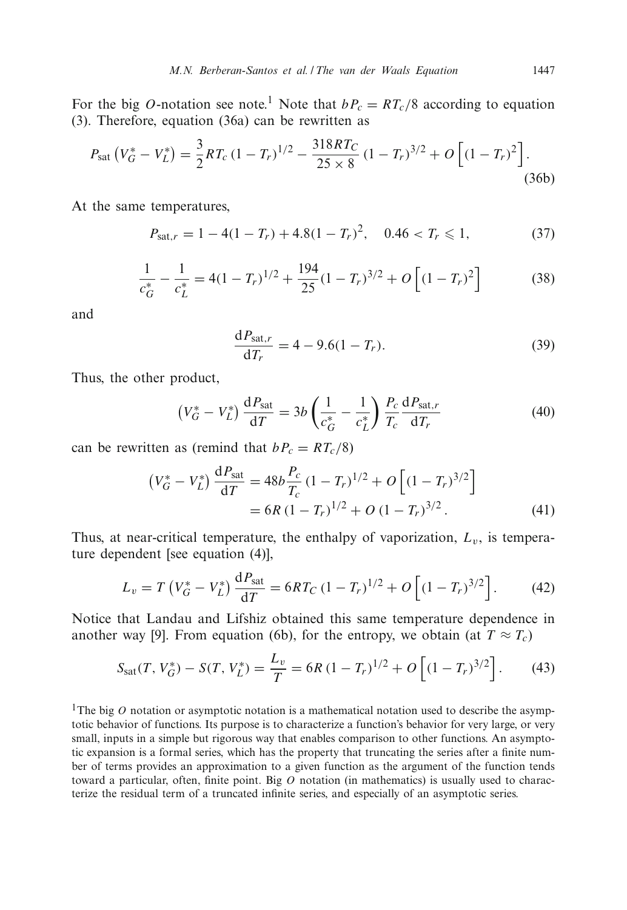For the big O-notation see note.<sup>1</sup> Note that  $bP_c = RT_c/8$  according to equation [\(3\)](#page-0-0). Therefore, equation [\(36a\)](#page-9-0) can be rewritten as

$$
P_{\rm sat} \left( V_G^* - V_L^* \right) = \frac{3}{2} R T_c \left( 1 - T_r \right)^{1/2} - \frac{318 R T_C}{25 \times 8} \left( 1 - T_r \right)^{3/2} + O \left[ \left( 1 - T_r \right)^2 \right]. \tag{36b}
$$

At the same temperatures,

$$
P_{\text{sat,r}} = 1 - 4(1 - T_r) + 4.8(1 - T_r)^2, \quad 0.46 < T_r \leq 1,\tag{37}
$$

$$
\frac{1}{c_G^*} - \frac{1}{c_L^*} = 4(1 - T_r)^{1/2} + \frac{194}{25}(1 - T_r)^{3/2} + O\left[ (1 - T_r)^2 \right]
$$
(38)

and

$$
\frac{dP_{\text{sat,r}}}{dT_r} = 4 - 9.6(1 - T_r). \tag{39}
$$

Thus, the other product,

$$
\left(V_G^* - V_L^*\right) \frac{\mathrm{d}P_{\text{sat}}}{\mathrm{d}T} = 3b \left(\frac{1}{c_G^*} - \frac{1}{c_L^*}\right) \frac{P_c}{T_c} \frac{\mathrm{d}P_{\text{sat},r}}{\mathrm{d}T_r} \tag{40}
$$

can be rewritten as (remind that  $bP_c = RT_c/8$ )

$$
\left(V_G^* - V_L^*\right) \frac{\mathrm{d}P_{\text{sat}}}{\mathrm{d}T} = 48b \frac{P_c}{T_c} (1 - T_r)^{1/2} + O\left[ (1 - T_r)^{3/2} \right]
$$

$$
= 6R (1 - T_r)^{1/2} + O\left( (1 - T_r)^{3/2} \right). \tag{41}
$$

Thus, at near-critical temperature, the enthalpy of vaporization,  $L<sub>v</sub>$ , is temperature dependent [see equation (4)],

$$
L_v = T \left( V_G^* - V_L^* \right) \frac{dP_{\text{sat}}}{dT} = 6RT_C \left( 1 - T_r \right)^{1/2} + O\left[ \left( 1 - T_r \right)^{3/2} \right]. \tag{42}
$$

Notice that Landau and Lifshiz obtained this same temperature dependence in another way [\[9\]](#page-20-8). From equation [\(6b\)](#page-3-0), for the entropy, we obtain (at  $T \approx T_c$ )

$$
S_{\rm sat}(T, V_G^*) - S(T, V_L^*) = \frac{L_v}{T} = 6R\left(1 - T_r\right)^{1/2} + O\left[\left(1 - T_r\right)^{3/2}\right].\tag{43}
$$

<sup>1</sup>The big O notation or asymptotic notation is a mathematical notation used to describe the asymptotic behavior of functions. Its purpose is to characterize a function's behavior for very large, or very small, inputs in a simple but rigorous way that enables comparison to other functions. An asymptotic expansion is a formal series, which has the property that truncating the series after a finite number of terms provides an approximation to a given function as the argument of the function tends toward a particular, often, finite point. Big  $O$  notation (in mathematics) is usually used to characterize the residual term of a truncated infinite series, and especially of an asymptotic series.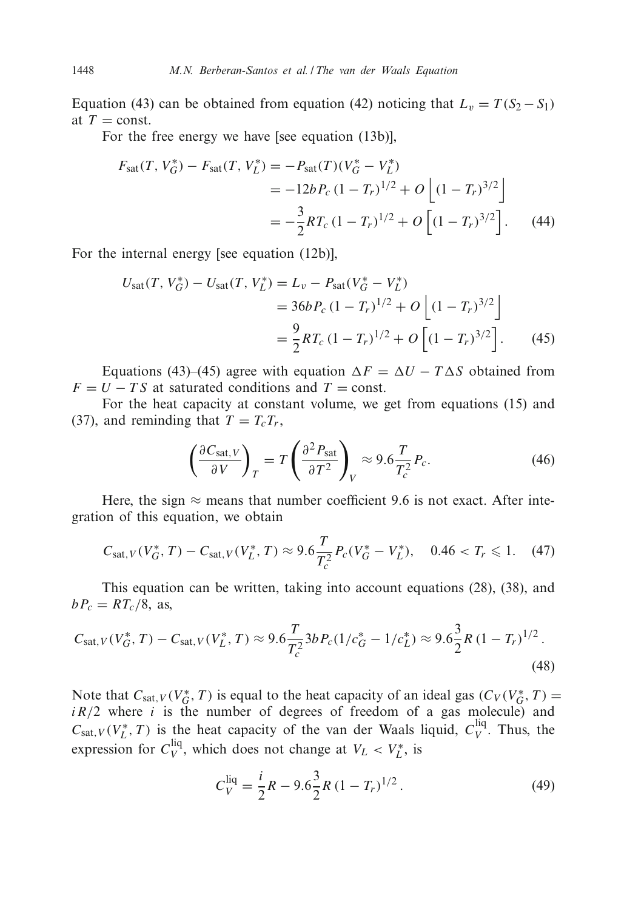Equation [\(43\)](#page-9-0) can be obtained from equation [\(42\)](#page-9-0) noticing that  $L_v = T(S_2 - S_1)$ at  $T = \text{const.}$ 

For the free energy we have [see equation [\(13b\)](#page-4-1)],

$$
F_{\text{sat}}(T, V_G^*) - F_{\text{sat}}(T, V_L^*) = -P_{\text{sat}}(T)(V_G^* - V_L^*)
$$
  
= -12b P<sub>c</sub> (1 - T<sub>r</sub>)<sup>1/2</sup> + O [(1 - T<sub>r</sub>)<sup>3/2</sup>]  
= -\frac{3}{2} R T\_c (1 - T<sub>r</sub>)<sup>1/2</sup> + O [(1 - T<sub>r</sub>)<sup>3/2</sup>]. (44)

For the internal energy [see equation [\(12b\)](#page-4-0)],

$$
U_{\text{sat}}(T, V_G^*) - U_{\text{sat}}(T, V_L^*) = L_v - P_{\text{sat}}(V_G^* - V_L^*)
$$
  
= 36b P<sub>c</sub> (1 - T<sub>r</sub>)<sup>1/2</sup> + O [(1 - T<sub>r</sub>)<sup>3/2</sup>]  
=  $\frac{9}{2} R T_c (1 - T_r)^{1/2} + O [(1 - T_r)^{3/2}].$  (45)

Equations [\(43\)](#page-9-0)–[\(45\)](#page-9-0) agree with equation  $\Delta F = \Delta U - T \Delta S$  obtained from  $F = U - TS$  at saturated conditions and  $T = const.$ 

For the heat capacity at constant volume, we get from equations [\(15\)](#page-5-0) and [\(37\)](#page-9-0), and reminding that  $T = T_cT_r$ ,

$$
\left(\frac{\partial C_{\text{sat},V}}{\partial V}\right)_T = T \left(\frac{\partial^2 P_{\text{sat}}}{\partial T^2}\right)_V \approx 9.6 \frac{T}{T_c^2} P_c. \tag{46}
$$

Here, the sign  $\approx$  means that number coefficient 9.6 is not exact. After integration of this equation, we obtain

$$
C_{\text{sat},V}(V_G^*, T) - C_{\text{sat},V}(V_L^*, T) \approx 9.6 \frac{T}{T_c^2} P_c(V_G^* - V_L^*), \quad 0.46 < T_r \leq 1. \tag{47}
$$

This equation can be written, taking into account equations [\(28\)](#page-5-1), [\(38\)](#page-9-0), and  $bP_c = RT_c/8$ , as,

$$
C_{\text{sat,V}}(V_G^*, T) - C_{\text{sat,V}}(V_L^*, T) \approx 9.6 \frac{T}{T_c^2} 3b P_c (1/c_G^* - 1/c_L^*) \approx 9.6 \frac{3}{2} R (1 - T_r)^{1/2} \,. \tag{48}
$$

Note that  $C_{\text{sat},V}(V_G^*,T)$  is equal to the heat capacity of an ideal gas  $(C_V(V_G^*,T))$  $iR/2$  where i is the number of degrees of freedom of a gas molecule) and  $C_{\text{sat,V}}(V_L^*,T)$  is the heat capacity of the van der Waals liquid,  $C_V^{\text{liq}}$ . Thus, the expression for  $C_V^{\text{liq}}$ , which does not change at  $V_L < V_L^*$ , is

$$
C_V^{\text{liq}} = \frac{i}{2}R - 9.6\frac{3}{2}R(1 - T_r)^{1/2}.
$$
 (49)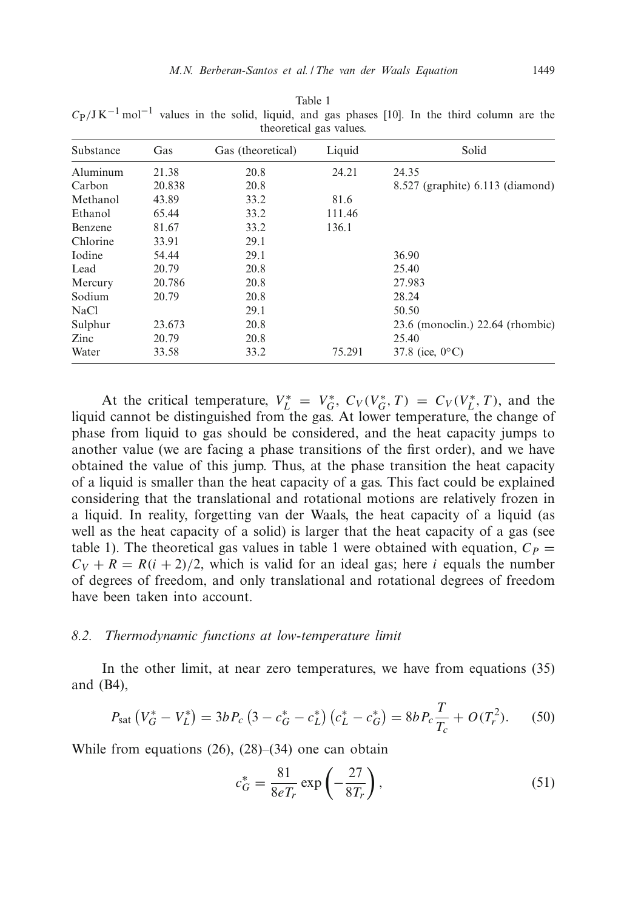| theoretical gas values. |        |                   |        |                                  |  |  |
|-------------------------|--------|-------------------|--------|----------------------------------|--|--|
| Substance               | Gas    | Gas (theoretical) | Liquid | Solid                            |  |  |
| Aluminum                | 21.38  | 20.8              | 24.21  | 24.35                            |  |  |
| Carbon                  | 20.838 | 20.8              |        | 8.527 (graphite) 6.113 (diamond) |  |  |
| Methanol                | 43.89  | 33.2              | 81.6   |                                  |  |  |
| Ethanol                 | 65.44  | 33.2              | 111.46 |                                  |  |  |
| Benzene                 | 81.67  | 33.2              | 136.1  |                                  |  |  |
| Chlorine                | 33.91  | 29.1              |        |                                  |  |  |
| Iodine                  | 54.44  | 29.1              |        | 36.90                            |  |  |
| Lead                    | 20.79  | 20.8              |        | 25.40                            |  |  |
| Mercury                 | 20.786 | 20.8              |        | 27.983                           |  |  |
| Sodium                  | 20.79  | 20.8              |        | 28.24                            |  |  |
| NaCl                    |        | 29.1              |        | 50.50                            |  |  |
| Sulphur                 | 23.673 | 20.8              |        | 23.6 (monoclin.) 22.64 (rhombic) |  |  |
| Zinc                    | 20.79  | 20.8              |        | 25.40                            |  |  |
| Water                   | 33.58  | 33.2              | 75.291 | 37.8 (ice, $0^{\circ}$ C)        |  |  |

Table 1  $C_P/J K^{-1}$  mol<sup>-1</sup> values in the solid, liquid, and gas phases [\[10](#page-20-9)]. In the third column are the

At the critical temperature,  $V_L^* = V_G^*$ ,  $C_V(V_G^*, T) = C_V(V_L^*, T)$ , and the liquid cannot be distinguished from the gas. At lower temperature, the change of phase from liquid to gas should be considered, and the heat capacity jumps to another value (we are facing a phase transitions of the first order), and we have obtained the value of this jump. Thus, at the phase transition the heat capacity of a liquid is smaller than the heat capacity of a gas. This fact could be explained considering that the translational and rotational motions are relatively frozen in a liquid. In reality, forgetting van der Waals, the heat capacity of a liquid (as well as the heat capacity of a solid) is larger that the heat capacity of a gas (see table [1\)](#page-9-0). The theoretical gas values in table [1](#page-9-0) were obtained with equation,  $C_P =$  $C_V + R = R(i + 2)/2$ , which is valid for an ideal gas; here i equals the number of degrees of freedom, and only translational and rotational degrees of freedom have been taken into account.

#### <span id="page-12-0"></span>*8.2. Thermodynamic functions at low-temperature limit*

In the other limit, at near zero temperatures, we have from equations [\(35\)](#page-5-1) and [\(B4\)](#page-18-0),

$$
P_{\rm sat} \left( V_G^* - V_L^* \right) = 3b \, P_c \left( 3 - c_G^* - c_L^* \right) \left( c_L^* - c_G^* \right) = 8b \, P_c \frac{T}{T_c} + O(T_r^2). \tag{50}
$$

While from equations [\(26\)](#page-5-1), [\(28\)](#page-5-1)–[\(34\)](#page-5-1) one can obtain

$$
c_G^* = \frac{81}{8eT_r} \exp\left(-\frac{27}{8T_r}\right),\tag{51}
$$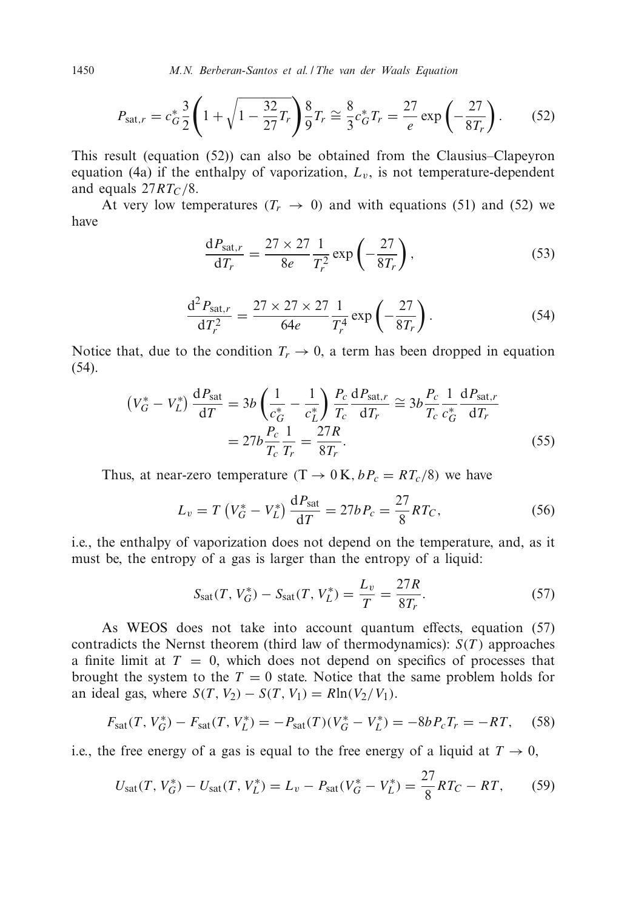1450 *M.N. Berberan-Santos et al. / The van der Waals Equation*

$$
P_{\text{sat,r}} = c_G^* \frac{3}{2} \left( 1 + \sqrt{1 - \frac{32}{27} T_r} \right) \frac{8}{9} T_r \cong \frac{8}{3} c_G^* T_r = \frac{27}{e} \exp\left(-\frac{27}{8T_r}\right). \tag{52}
$$

This result (equation [\(52\)](#page-12-0)) can also be obtained from the Clausius–Clapeyron equation [\(4a\)](#page-2-0) if the enthalpy of vaporization,  $L<sub>v</sub>$ , is not temperature-dependent and equals  $27RT_C/8$ .

At very low temperatures ( $T_r \rightarrow 0$ ) and with equations [\(51\)](#page-12-0) and [\(52\)](#page-12-0) we have

$$
\frac{\mathrm{d}P_{\text{sat,r}}}{\mathrm{d}T_r} = \frac{27 \times 27}{8e} \frac{1}{T_r^2} \exp\left(-\frac{27}{8T_r}\right),\tag{53}
$$

$$
\frac{d^2 P_{\text{sat,r}}}{dT_r^2} = \frac{27 \times 27 \times 27}{64e} \frac{1}{T_r^4} \exp\left(-\frac{27}{8T_r}\right). \tag{54}
$$

Notice that, due to the condition  $T_r \to 0$ , a term has been dropped in equation [\(54\)](#page-12-0).

$$
\left(V_G^* - V_L^*\right) \frac{dP_{sat}}{dT} = 3b \left(\frac{1}{c_G^*} - \frac{1}{c_L^*}\right) \frac{P_c}{T_c} \frac{dP_{sat,r}}{dT_r} \cong 3b \frac{P_c}{T_c} \frac{1}{c_G^*} \frac{dP_{sat,r}}{dT_r} \n= 27b \frac{P_c}{T_c} \frac{1}{T_r} = \frac{27R}{8T_r}.
$$
\n(55)

Thus, at near-zero temperature (T  $\rightarrow$  0 K,  $bP_c = RT_c/8$ ) we have

$$
L_v = T \left( V_G^* - V_L^* \right) \frac{\mathrm{d}P_{\text{sat}}}{\mathrm{d}T} = 27b P_c = \frac{27}{8} R T_C, \tag{56}
$$

i.e., the enthalpy of vaporization does not depend on the temperature, and, as it must be, the entropy of a gas is larger than the entropy of a liquid:

$$
S_{\rm sat}(T, V_G^*) - S_{\rm sat}(T, V_L^*) = \frac{L_v}{T} = \frac{27R}{8T_r}.
$$
\n(57)

As WEOS does not take into account quantum effects, equation [\(57\)](#page-12-0) contradicts the Nernst theorem (third law of thermodynamics):  $S(T)$  approaches a finite limit at  $T = 0$ , which does not depend on specifics of processes that brought the system to the  $T = 0$  state. Notice that the same problem holds for an ideal gas, where  $S(T, V_2) - S(T, V_1) = R\ln(V_2/V_1)$ .

$$
F_{\rm sat}(T, V_G^*) - F_{\rm sat}(T, V_L^*) = -P_{\rm sat}(T)(V_G^* - V_L^*) = -8bP_cT_r = -RT,\tag{58}
$$

i.e., the free energy of a gas is equal to the free energy of a liquid at  $T \to 0$ ,

$$
U_{\text{sat}}(T, V_G^*) - U_{\text{sat}}(T, V_L^*) = L_v - P_{\text{sat}}(V_G^* - V_L^*) = \frac{27}{8}RT_C - RT,\tag{59}
$$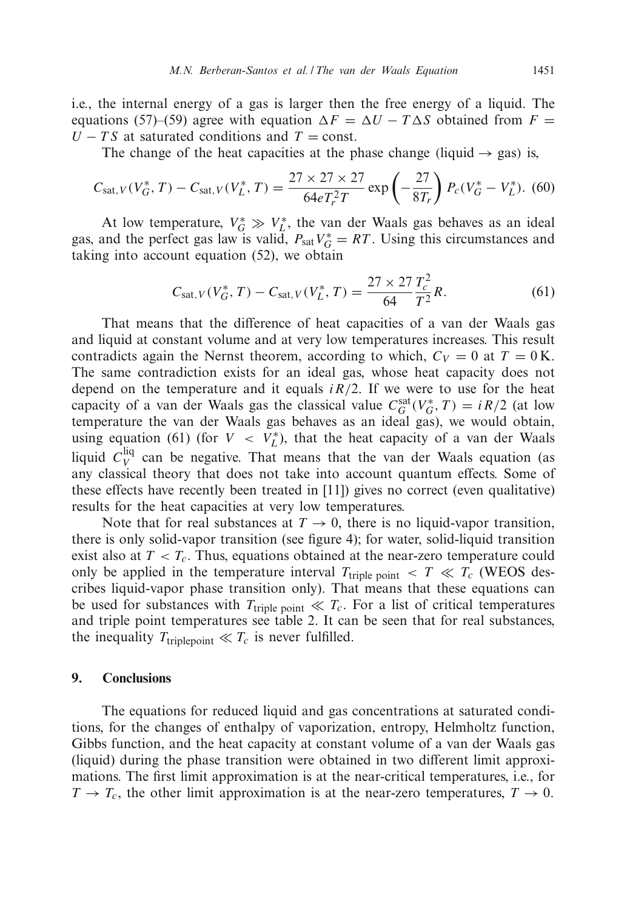i.e., the internal energy of a gas is larger then the free energy of a liquid. The equations [\(57\)](#page-12-0)–[\(59\)](#page-12-0) agree with equation  $\Delta F = \Delta U - T \Delta S$  obtained from  $F =$  $U - TS$  at saturated conditions and  $T =$  const.

The change of the heat capacities at the phase change (liquid  $\rightarrow$  gas) is,

$$
C_{\text{sat},V}(V_G^*, T) - C_{\text{sat},V}(V_L^*, T) = \frac{27 \times 27 \times 27}{64eT_r^2 T} \exp\left(-\frac{27}{8T_r}\right) P_c(V_G^* - V_L^*). \tag{60}
$$

At low temperature,  $V_G^* \gg V_L^*$ , the van der Waals gas behaves as an ideal gas, and the perfect gas law is valid,  $P_{\text{sat}}V_G^* = RT$ . Using this circumstances and taking into account equation [\(52\)](#page-12-0), we obtain

$$
C_{\text{sat},V}(V_G^*, T) - C_{\text{sat},V}(V_L^*, T) = \frac{27 \times 27}{64} \frac{T_c^2}{T^2} R. \tag{61}
$$

That means that the difference of heat capacities of a van der Waals gas and liquid at constant volume and at very low temperatures increases. This result contradicts again the Nernst theorem, according to which,  $C_V = 0$  at  $T = 0$  K. The same contradiction exists for an ideal gas, whose heat capacity does not depend on the temperature and it equals  $iR/2$ . If we were to use for the heat capacity of a van der Waals gas the classical value  $C_G^{\text{sat}}(V_G^*,T) = iR/2$  (at low temperature the van der Waals gas behaves as an ideal gas), we would obtain, using equation [\(61\)](#page-12-0) (for  $V < V_L^*$ ), that the heat capacity of a van der Waals liquid  $C_V^{\text{liq}}$  can be negative. That means that the van der Waals equation (as any classical theory that does not take into account quantum effects. Some of these effects have recently been treated in [\[11\]](#page-20-10)) gives no correct (even qualitative) results for the heat capacities at very low temperatures.

Note that for real substances at  $T \to 0$ , there is no liquid-vapor transition, there is only solid-vapor transition (see figure [4\)](#page-12-0); for water, solid-liquid transition exist also at  $T < T_c$ . Thus, equations obtained at the near-zero temperature could only be applied in the temperature interval  $T_{\text{triple point}} < T \ll T_c$  (WEOS describes liquid-vapor phase transition only). That means that these equations can be used for substances with  $T_{\text{triple point}} \ll T_c$ . For a list of critical temperatures and triple point temperatures see table [2.](#page-12-0) It can be seen that for real substances, the inequality  $T_{\text{triplepoint}} \ll T_c$  is never fulfilled.

## **9. Conclusions**

The equations for reduced liquid and gas concentrations at saturated conditions, for the changes of enthalpy of vaporization, entropy, Helmholtz function, Gibbs function, and the heat capacity at constant volume of a van der Waals gas (liquid) during the phase transition were obtained in two different limit approximations. The first limit approximation is at the near-critical temperatures, i.e., for  $T \to T_c$ , the other limit approximation is at the near-zero temperatures,  $T \to 0$ .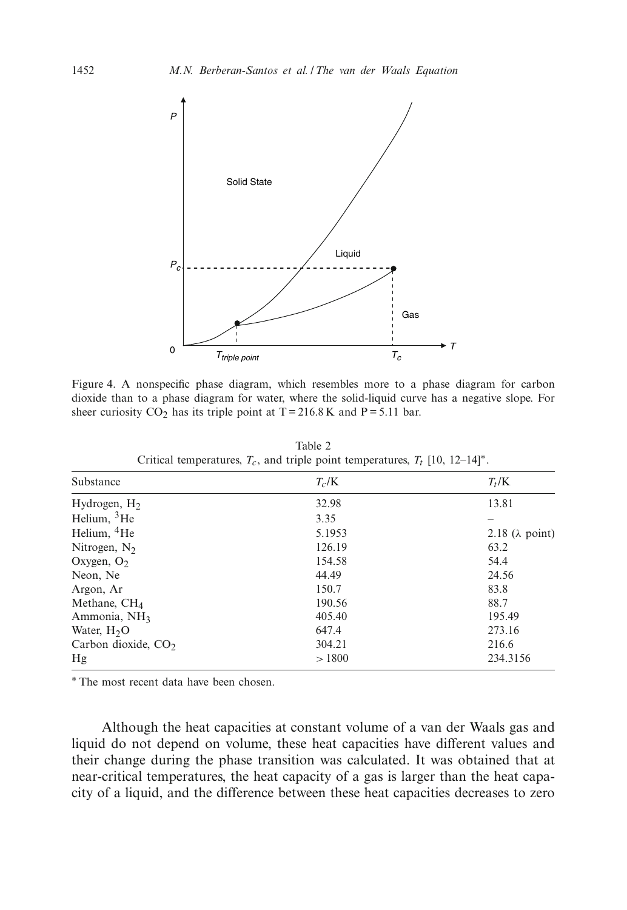

Figure 4. A nonspecific phase diagram, which resembles more to a phase diagram for carbon dioxide than to a phase diagram for water, where the solid-liquid curve has a negative slope. For sheer curiosity  $CO_2$  has its triple point at T = 216.8 K and P = 5.11 bar.

| Critical temperatures, $T_c$ , and triple point temperatures, $T_t$ [10, 12–14] <sup>*</sup> . |         |                                |  |  |  |
|------------------------------------------------------------------------------------------------|---------|--------------------------------|--|--|--|
| Substance                                                                                      | $T_c/K$ | $T_t/K$                        |  |  |  |
| Hydrogen, $H_2$                                                                                | 32.98   | 13.81                          |  |  |  |
| Helium, ${}^{3}$ He                                                                            | 3.35    |                                |  |  |  |
| Helium, ${}^{4}$ He                                                                            | 5.1953  | 2.18 $(\lambda \text{ point})$ |  |  |  |
| Nitrogen, $N_2$                                                                                | 126.19  | 63.2                           |  |  |  |
| Oxygen, $O_2$                                                                                  | 154.58  | 54.4                           |  |  |  |
| Neon, Ne                                                                                       | 44.49   | 24.56                          |  |  |  |
| Argon, Ar                                                                                      | 150.7   | 83.8                           |  |  |  |
| Methane, $CH4$                                                                                 | 190.56  | 88.7                           |  |  |  |
| Ammonia, NH <sub>3</sub>                                                                       | 405.40  | 195.49                         |  |  |  |
| Water, $H_2O$                                                                                  | 647.4   | 273.16                         |  |  |  |
| Carbon dioxide, $CO2$                                                                          | 304.21  | 216.6                          |  |  |  |
| Hg                                                                                             | >1800   | 234.3156                       |  |  |  |

Table 2

∗ The most recent data have been chosen.

Although the heat capacities at constant volume of a van der Waals gas and liquid do not depend on volume, these heat capacities have different values and their change during the phase transition was calculated. It was obtained that at near-critical temperatures, the heat capacity of a gas is larger than the heat capacity of a liquid, and the difference between these heat capacities decreases to zero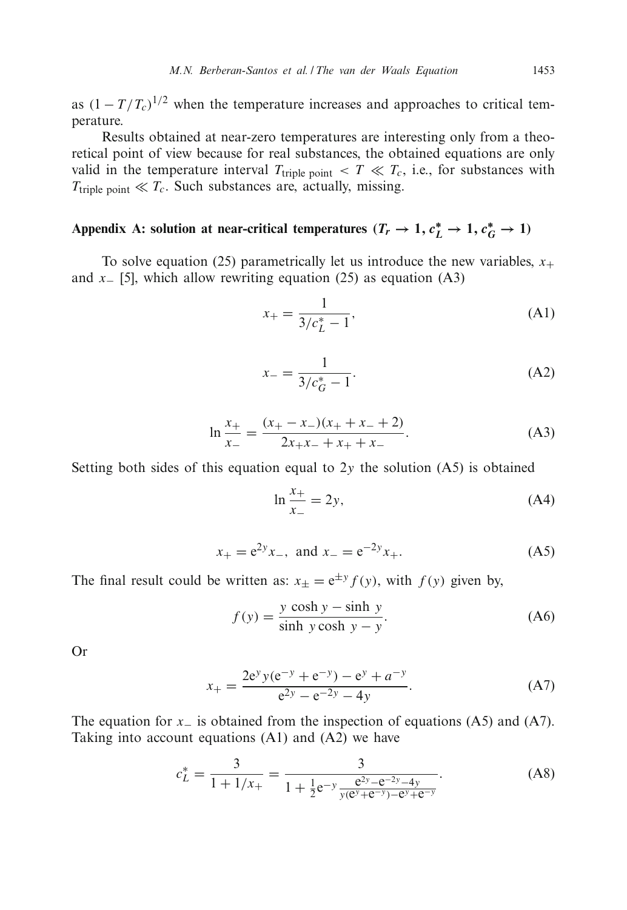as  $(1 - T/T_c)^{1/2}$  when the temperature increases and approaches to critical temperature.

Results obtained at near-zero temperatures are interesting only from a theoretical point of view because for real substances, the obtained equations are only valid in the temperature interval  $T_{\text{triple point}} < T \ll T_c$ , i.e., for substances with  $T_{\text{triple point}} \ll T_c$ . Such substances are, actually, missing.

# Appendix A: solution at near-critical temperatures  $(T_r \to 1, c_L^* \to 1, c_G^* \to 1)$

<span id="page-16-0"></span>To solve equation [\(25\)](#page-5-1) parametrically let us introduce the new variables,  $x_+$ and  $x_$  [\[5\]](#page-20-4), which allow rewriting equation [\(25\)](#page-5-1) as equation [\(A3\)](#page-16-0)

$$
x_{+} = \frac{1}{3/c_{L}^{*} - 1},\tag{A1}
$$

$$
x_{-} = \frac{1}{3/c_G^* - 1}.
$$
 (A2)

$$
\ln \frac{x_+}{x_-} = \frac{(x_+ - x_-)(x_+ + x_- + 2)}{2x_+ x_- + x_+ + x_-}.
$$
 (A3)

Setting both sides of this equation equal to  $2y$  the solution  $(A5)$  is obtained

$$
\ln \frac{x_+}{x_-} = 2y,\tag{A4}
$$

$$
x_{+} = e^{2y}x_{-}
$$
, and  $x_{-} = e^{-2y}x_{+}$ . (A5)

The final result could be written as:  $x_{\pm} = e^{\pm y} f(y)$ , with  $f(y)$  given by,

$$
f(y) = \frac{y \cosh y - \sinh y}{\sinh y \cosh y - y}.
$$
 (A6)

Or

$$
x_{+} = \frac{2e^{y}y(e^{-y} + e^{-y}) - e^{y} + a^{-y}}{e^{2y} - e^{-2y} - 4y}.
$$
 (A7)

The equation for  $x_-\$  is obtained from the inspection of equations [\(A5\)](#page-16-0) and [\(A7\)](#page-16-0). Taking into account equations [\(A1\)](#page-16-0) and [\(A2\)](#page-16-0) we have

$$
c_L^* = \frac{3}{1 + 1/x_+} = \frac{3}{1 + \frac{1}{2}e^{-y} \frac{e^{2y} - e^{-2y} - 4y}{y(e^y + e^{-y}) - e^y + e^{-y}}}. \tag{A8}
$$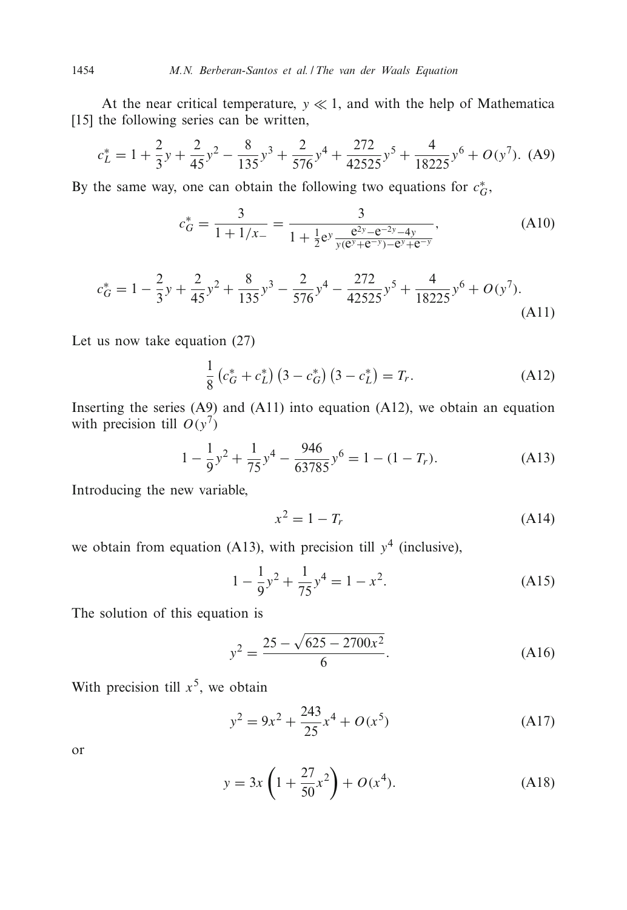At the near critical temperature,  $y \ll 1$ , and with the help of Mathematica [\[15\]](#page-20-13) the following series can be written,

$$
c_L^* = 1 + \frac{2}{3}y + \frac{2}{45}y^2 - \frac{8}{135}y^3 + \frac{2}{576}y^4 + \frac{272}{42525}y^5 + \frac{4}{18225}y^6 + O(y^7). \tag{A9}
$$

By the same way, one can obtain the following two equations for  $c_G^*$ ,

$$
c_G^* = \frac{3}{1 + 1/x_-} = \frac{3}{1 + \frac{1}{2}e^y \frac{e^{2y} - e^{-2y} - 4y}{y(e^y + e^{-y}) - e^y + e^{-y}}},
$$
(A10)

$$
c_G^* = 1 - \frac{2}{3}y + \frac{2}{45}y^2 + \frac{8}{135}y^3 - \frac{2}{576}y^4 - \frac{272}{42525}y^5 + \frac{4}{18225}y^6 + O(y^7).
$$
\n(A11)

Let us now take equation [\(27\)](#page-5-1)

$$
\frac{1}{8} \left( c_G^* + c_L^* \right) \left( 3 - c_G^* \right) \left( 3 - c_L^* \right) = T_r. \tag{A12}
$$

Inserting the series [\(A9\)](#page-16-0) and [\(A11\)](#page-16-0) into equation [\(A12\)](#page-16-0), we obtain an equation with precision till  $O(y^7)$ 

$$
1 - \frac{1}{9}y^2 + \frac{1}{75}y^4 - \frac{946}{63785}y^6 = 1 - (1 - T_r). \tag{A13}
$$

Introducing the new variable,

$$
x^2 = 1 - T_r \tag{A14}
$$

we obtain from equation [\(A13\)](#page-16-0), with precision till  $y^4$  (inclusive),

$$
1 - \frac{1}{9}y^2 + \frac{1}{75}y^4 = 1 - x^2.
$$
 (A15)

The solution of this equation is

$$
y^2 = \frac{25 - \sqrt{625 - 2700x^2}}{6}.
$$
 (A16)

With precision till  $x^5$ , we obtain

$$
y^2 = 9x^2 + \frac{243}{25}x^4 + O(x^5)
$$
 (A17)

or

$$
y = 3x \left( 1 + \frac{27}{50} x^2 \right) + O(x^4). \tag{A18}
$$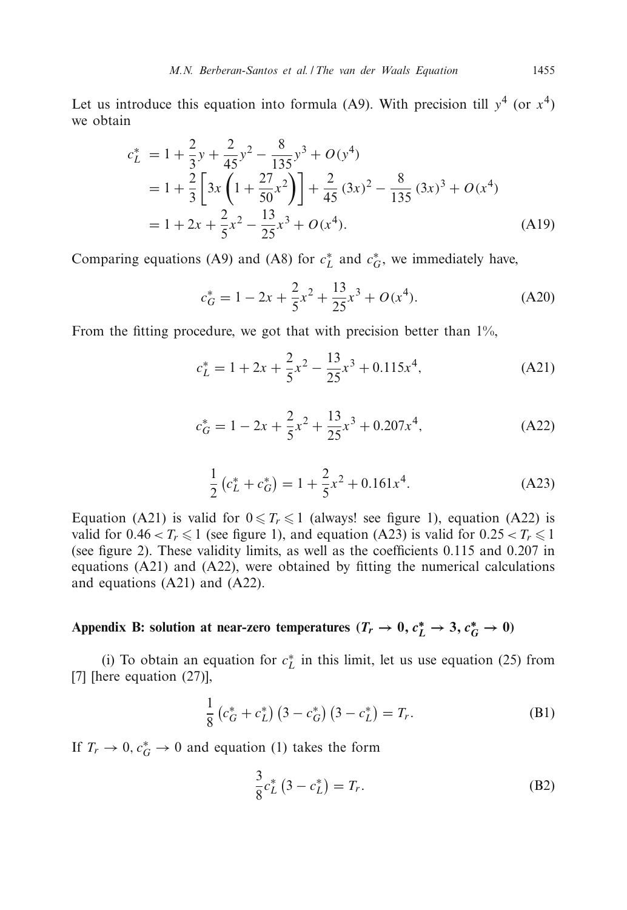Let us introduce this equation into formula [\(A9\)](#page-16-0). With precision till  $y^4$  (or  $x^4$ ) we obtain

$$
c_L^* = 1 + \frac{2}{3}y + \frac{2}{45}y^2 - \frac{8}{135}y^3 + O(y^4)
$$
  
=  $1 + \frac{2}{3} \left[ 3x \left( 1 + \frac{27}{50}x^2 \right) \right] + \frac{2}{45} (3x)^2 - \frac{8}{135} (3x)^3 + O(x^4)$   
=  $1 + 2x + \frac{2}{5}x^2 - \frac{13}{25}x^3 + O(x^4).$  (A19)

Comparing equations [\(A9\)](#page-16-0) and [\(A8\)](#page-16-0) for  $c_L^*$  and  $c_G^*$ , we immediately have,

$$
c_G^* = 1 - 2x + \frac{2}{5}x^2 + \frac{13}{25}x^3 + O(x^4).
$$
 (A20)

From the fitting procedure, we got that with precision better than  $1\%$ ,

$$
c_L^* = 1 + 2x + \frac{2}{5}x^2 - \frac{13}{25}x^3 + 0.115x^4,
$$
 (A21)

$$
c_G^* = 1 - 2x + \frac{2}{5}x^2 + \frac{13}{25}x^3 + 0.207x^4,
$$
 (A22)

$$
\frac{1}{2}\left(c_L^* + c_G^*\right) = 1 + \frac{2}{5}x^2 + 0.161x^4.
$$
 (A23)

Equation [\(A21\)](#page-16-0) is valid for  $0 \le T_r \le 1$  (always! see figure [1\)](#page-5-1), equation [\(A22\)](#page-16-0) is valid for  $0.46 < T_r \le 1$  (see figure [1\)](#page-5-1), and equation [\(A23\)](#page-16-0) is valid for  $0.25 < T_r \le 1$ (see figure [2\)](#page-5-1). These validity limits, as well as the coefficients 0.115 and 0.207 in equations [\(A21\)](#page-16-0) and [\(A22\)](#page-16-0), were obtained by fitting the numerical calculations and equations [\(A21\)](#page-16-0) and [\(A22\)](#page-16-0).

# Appendix B: solution at near-zero temperatures  $(T_r \to 0, c_L^* \to 3, c_G^* \to 0)$

<span id="page-18-0"></span>(i) To obtain an equation for  $c_L^*$  in this limit, let us use equation [\(25\)](#page-5-1) from [\[7](#page-20-6)] [here equation  $(27)$ ],

$$
\frac{1}{8} \left( c_G^* + c_L^* \right) \left( 3 - c_G^* \right) \left( 3 - c_L^* \right) = T_r. \tag{B1}
$$

If  $T_r \to 0$ ,  $c_G^* \to 0$  and equation [\(1\)](#page-0-0) takes the form

$$
\frac{3}{8}c_L^* (3 - c_L^*) = T_r.
$$
 (B2)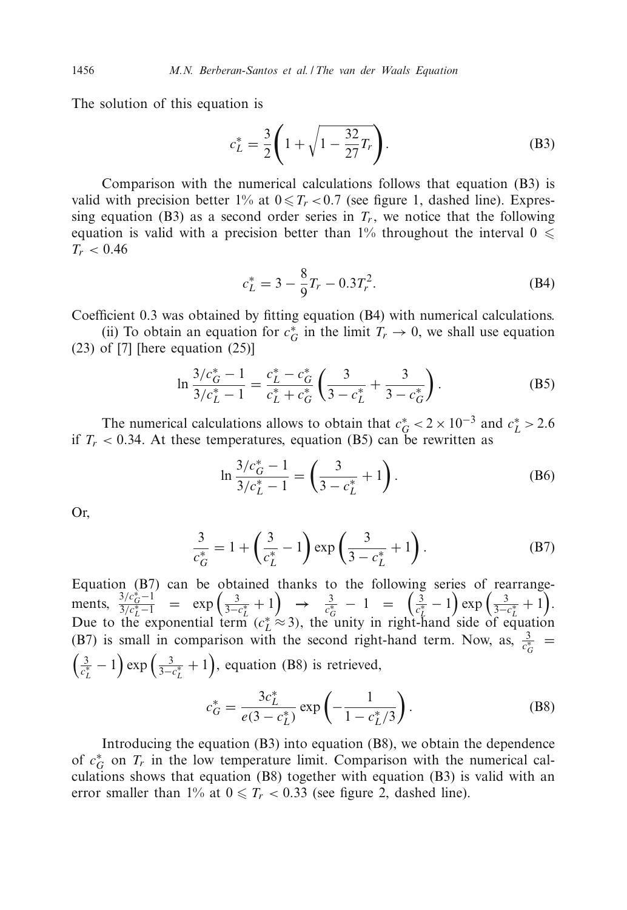The solution of this equation is

$$
c_L^* = \frac{3}{2} \left( 1 + \sqrt{1 - \frac{32}{27} T_r} \right).
$$
 (B3)

Comparison with the numerical calculations follows that equation [\(B3\)](#page-18-0) is valid with precision better 1% at  $0 \leq T_r < 0.7$  (see figure [1,](#page-5-1) dashed line). Expres-sing equation [\(B3\)](#page-18-0) as a second order series in  $T_r$ , we notice that the following equation is valid with a precision better than 1% throughout the interval  $0 \le$  $T_r < 0.46$ 

$$
c_L^* = 3 - \frac{8}{9}T_r - 0.3T_r^2.
$$
 (B4)

Coefficient 0.3 was obtained by fitting equation [\(B4\)](#page-18-0) with numerical calculations.

(ii) To obtain an equation for  $c_G^*$  in the limit  $T_r \to 0$ , we shall use equation [\(23\)](#page-5-1) of  $[7]$  $[7]$  [here equation  $(25)$ ]

$$
\ln \frac{3/c_G^* - 1}{3/c_L^* - 1} = \frac{c_L^* - c_G^*}{c_L^* + c_G^*} \left( \frac{3}{3 - c_L^*} + \frac{3}{3 - c_G^*} \right). \tag{B5}
$$

The numerical calculations allows to obtain that  $c_G^* < 2 \times 10^{-3}$  and  $c_L^* > 2.6$ if  $T_r < 0.34$ . At these temperatures, equation [\(B5\)](#page-18-0) can be rewritten as

$$
\ln \frac{3/c_G^* - 1}{3/c_L^* - 1} = \left(\frac{3}{3 - c_L^*} + 1\right). \tag{B6}
$$

Or,

$$
\frac{3}{c_G^*} = 1 + \left(\frac{3}{c_L^*} - 1\right) \exp\left(\frac{3}{3 - c_L^*} + 1\right).
$$
 (B7)

Equation [\(B7\)](#page-18-0) can be obtained thanks to the following series of rearrangements,  $\frac{3/c_G^* - 1}{3/c^* - 1}$  $\frac{3/c_{G}^{*}-1}{3/c_{L}^{*}-1}$  =  $\exp\left(\frac{3}{3-c_{L}^{*}}+1\right)$   $\rightarrow$   $\frac{3}{c_{G}^{*}}-1$  =  $\left(\frac{3}{c_{L}^{*}}-1\right)\exp\left(\frac{3}{3-c_{L}^{*}}+1\right)$ . Due to the exponential term  $(c_L^* \approx 3)$ , the unity in right-hand side of equation [\(B7\)](#page-18-0) is small in comparison with the second right-hand term. Now, as,  $\frac{3}{c_G^*}$  =  $\left(\frac{3}{c_L^*} - 1\right)$  exp  $\left(\frac{3}{3 - c_L^*} + 1\right)$ , equation [\(B8\)](#page-18-0) is retrieved,  $c_G^* = \frac{3c_L^*}{e(3-\epsilon)}$  $e(3 - c_L^*)$  $\exp\left(-\frac{1}{1 - c_L^*/3}\right)$  $\lambda$ . (B8)

Introducing the equation [\(B3\)](#page-18-0) into equation [\(B8\)](#page-18-0), we obtain the dependence of  $c_G^*$  on  $T_r$  in the low temperature limit. Comparison with the numerical calculations shows that equation [\(B8\)](#page-18-0) together with equation [\(B3\)](#page-18-0) is valid with an error smaller than 1% at  $0 \le T_r < 0.33$  (see figure [2,](#page-5-1) dashed line).